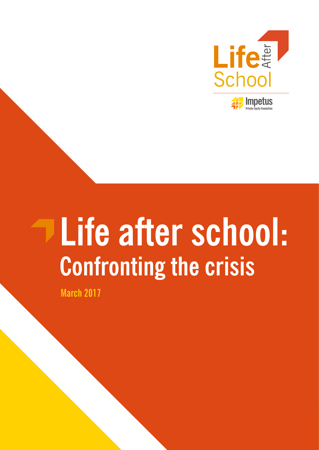

# **Life after school: Confronting the crisis**

**March 2017**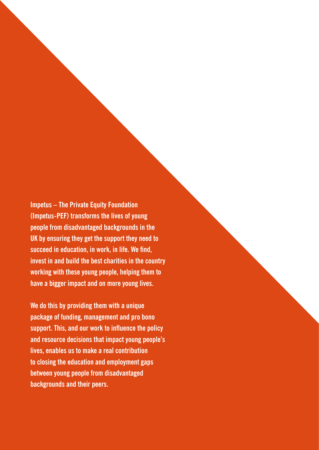**Impetus – The Private Equity Foundation (Impetus-PEF) transforms the lives of young people from disadvantaged backgrounds in the UK by ensuring they get the support they need to succeed in education, in work, in life. We find, invest in and build the best charities in the country working with these young people, helping them to have a bigger impact and on more young lives.**

**We do this by providing them with a unique package of funding, management and pro bono support. This, and our work to influence the policy and resource decisions that impact young people's lives, enables us to make a real contribution to closing the education and employment gaps between young people from disadvantaged backgrounds and their peers.**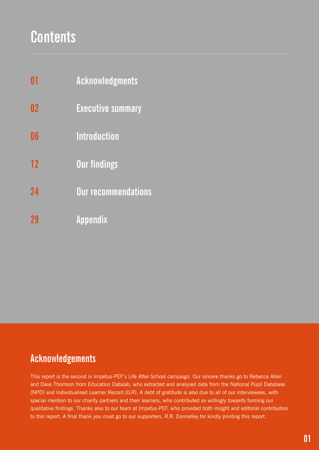# **Contents**

| $\mathbf{0}$ 1 | Acknowledgments |
|----------------|-----------------|
|----------------|-----------------|

- **Executive summary 02**
- **Introduction 06**
- **Our findings 12**
- **Our recommendations 24**
- **Appendix 29**

### **Acknowledgements**

This report is the second in Impetus-PEF's Life After School campaign. Our sincere thanks go to Rebecca Allen and Dave Thomson from Education Datalab, who extracted and analysed data from the National Pupil Database (NPD) and Individualised Learner Record (ILR). A debt of gratitude is also due to all of our interviewees, with special mention to our charity partners and their learners, who contributed so willingly towards forming our qualitative findings. Thanks also to our team at Impetus-PEF, who provided both insight and editorial contribution to this report. A final thank you must go to our supporters, R.R. Donnelley for kindly printing this report.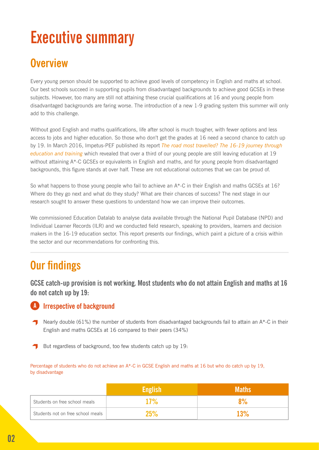# **Executive summary**

### **Overview**

Every young person should be supported to achieve good levels of competency in English and maths at school. Our best schools succeed in supporting pupils from disadvantaged backgrounds to achieve good GCSEs in these subjects. However, too many are still not attaining these crucial qualifications at 16 and young people from disadvantaged backgrounds are faring worse. The introduction of a new 1-9 grading system this summer will only add to this challenge.

Without good English and maths qualifications, life after school is much tougher, with fewer options and less access to jobs and higher education. So those who don't get the grades at 16 need a second chance to catch up by 19. In March 2016, Impetus-PEF published its report *[The road most travelled? The 16-19 journey through](http://www.impetus-pef.org.uk/wp-content/uploads/2016/03/Impetus-PEF-Position-Paper-Final-draft-Web.pdf)  [education and training](http://www.impetus-pef.org.uk/wp-content/uploads/2016/03/Impetus-PEF-Position-Paper-Final-draft-Web.pdf)* which revealed that over a third of our young people are still leaving education at 19 without attaining A\*-C GCSEs or equivalents in English and maths, and for young people from disadvantaged backgrounds, this figure stands at over half. These are not educational outcomes that we can be proud of.

So what happens to those young people who fail to achieve an  $A^*$ -C in their English and maths GCSEs at 16? Where do they go next and what do they study? What are their chances of success? The next stage in our research sought to answer these questions to understand how we can improve their outcomes.

We commissioned Education Datalab to analyse data available through the National Pupil Database (NPD) and Individual Learner Records (ILR) and we conducted field research, speaking to providers, learners and decision makers in the 16-19 education sector. This report presents our findings, which paint a picture of a crisis within the sector and our recommendations for confronting this.

### **Our findings**

**GCSE catch-up provision is not working. Most students who do not attain English and maths at 16 do not catch up by 19:**

#### **A** Irrespective of background

- Nearly double (61%) the number of students from disadvantaged backgrounds fail to attain an  $A^*$ -C in their English and maths GCSEs at 16 compared to their peers (34%)
- But regardless of background, too few students catch up by 19:

Percentage of students who do not achieve an A\*-C in GCSE English and maths at 16 but who do catch up by 19, by disadvantage

|                                   | <b>English</b> | <b>Maths</b> |
|-----------------------------------|----------------|--------------|
| Students on free school meals     | 17%            | 8%           |
| Students not on free school meals | 25%            | 13%          |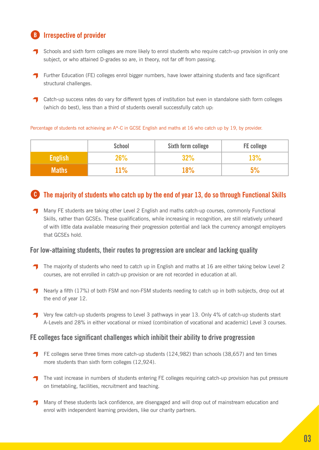#### **Irrespective of provider**

**B**

- Schools and sixth form colleges are more likely to enrol students who require catch-up provision in only one subject, or who attained D-grades so are, in theory, not far off from passing.
- Further Education (FE) colleges enrol bigger numbers, have lower attaining students and face significant structural challenges.
- **Catch-up success rates do vary for different types of institution but even in standalone sixth form colleges** (which do best), less than a third of students overall successfully catch up:

#### Percentage of students not achieving an A\*-C in GCSE English and maths at 16 who catch up by 19, by provider.

|                | <b>School</b> | Sixth form college | <b>FE</b> college |
|----------------|---------------|--------------------|-------------------|
| <b>English</b> | 26%           | 32%                | 13%               |
| <b>Maths</b>   | 11%           | 18%                |                   |

#### **The majority of students who catch up by the end of year 13, do so through Functional Skills C**

**T** Many FE students are taking other Level 2 English and maths catch-up courses, commonly Functional Skills, rather than GCSEs. These qualifications, while increasing in recognition, are still relatively unheard of with little data available measuring their progression potential and lack the currency amongst employers that GCSEs hold.

#### **For low-attaining students, their routes to progression are unclear and lacking quality**

- The majority of students who need to catch up in English and maths at 16 are either taking below Level 2 courses, are not enrolled in catch-up provision or are not recorded in education at all.
- **T** Nearly a fifth (17%) of both FSM and non-FSM students needing to catch up in both subjects, drop out at the end of year 12.
- Very few catch-up students progress to Level 3 pathways in year 13. Only 4% of catch-up students start A-Levels and 28% in either vocational or mixed (combination of vocational and academic) Level 3 courses.

#### **FE colleges face significant challenges which inhibit their ability to drive progression**

- FE colleges serve three times more catch-up students (124,982) than schools (38,657) and ten times more students than sixth form colleges (12,924).
- T The vast increase in numbers of students entering FE colleges requiring catch-up provision has put pressure on timetabling, facilities, recruitment and teaching.
- Many of these students lack confidence, are disengaged and will drop out of mainstream education and enrol with independent learning providers, like our charity partners.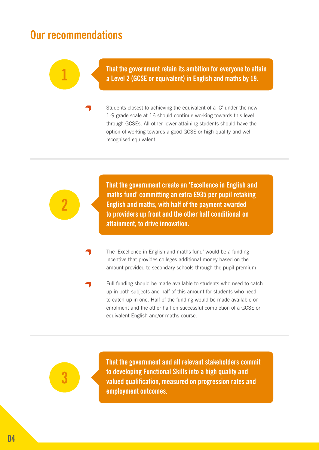### **Our recommendations**

**1**

**That the government retain its ambition for everyone to attain a Level 2 (GCSE or equivalent) in English and maths by 19.**

Students closest to achieving the equivalent of a 'C' under the new 1-9 grade scale at 16 should continue working towards this level through GCSEs. All other lower-attaining students should have the option of working towards a good GCSE or high-quality and wellrecognised equivalent.

**That the government create an 'Excellence in English and maths fund' committing an extra £935 per pupil retaking English and maths, with half of the payment awarded to providers up front and the other half conditional on attainment, to drive innovation.**

- The 'Excellence in English and maths fund' would be a funding incentive that provides colleges additional money based on the amount provided to secondary schools through the pupil premium.
- Full funding should be made available to students who need to catch up in both subjects and half of this amount for students who need to catch up in one. Half of the funding would be made available on enrolment and the other half on successful completion of a GCSE or equivalent English and/or maths course.



**2**

**That the government and all relevant stakeholders commit to developing Functional Skills into a high quality and valued qualification, measured on progression rates and employment outcomes.**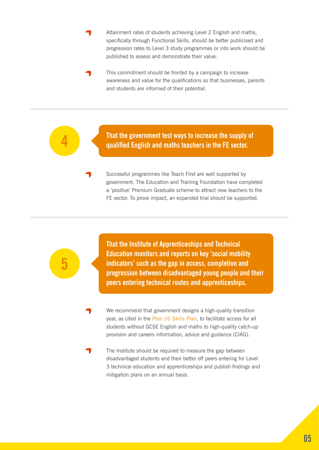- Attainment rates of students achieving Level 2 English and maths, specifically through Functional Skills, should be better publicised and progression rates to Level 3 study programmes or into work should be published to assess and demonstrate their value.
- This commitment should be fronted by a campaign to increase awareness and value for the qualifications so that businesses, parents and students are informed of their potential.

**That the government test ways to increase the supply of qualified English and maths teachers in the FE sector.**

Successful programmes like Teach First are well supported by government. The Education and Training Foundation have completed a 'positive' Premium Graduate scheme to attract new teachers to the FE sector. To prove impact, an expanded trial should be supported.

**That the Institute of Apprenticeships and Technical Education monitors and reports on key 'social mobility indicators' such as the gap in access, completion and progression between disadvantaged young people and their peers entering technical routes and apprenticeships.**

**5**

**4**

We recommend that government designs a high-quality transition year, as cited in the *[Post-16 Skills Plan](https://www.gov.uk/government/uploads/system/uploads/attachment_data/file/536043/Post-16_Skills_Plan.pdf)*, to facilitate access for all students without GCSE English and maths to high-quality catch-up provision and careers information, advice and guidance (CIAG).

The Institute should be required to measure the gap between disadvantaged students and their better off peers entering for Level 3 technical education and apprenticeships and publish findings and mitigation plans on an annual basis.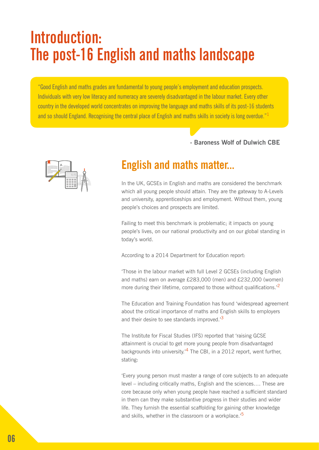## **Introduction: The post-16 English and maths landscape**

"Good English and maths grades are fundamental to young people's employment and education prospects. Individuals with very low literacy and numeracy are severely disadvantaged in the labour market. Every other country in the developed world concentrates on improving the language and maths skills of its post-16 students and so should England. Recognising the central place of English and maths skills in society is long overdue."<sup>1</sup>

#### **- Baroness Wolf of Dulwich CBE**



### **English and maths matter...**

In the UK, GCSEs in English and maths are considered the benchmark which all young people should attain. They are the gateway to A-Levels and university, apprenticeships and employment. Without them, young people's choices and prospects are limited.

Failing to meet this benchmark is problematic; it impacts on young people's lives, on our national productivity and on our global standing in today's world.

According to a 2014 Department for Education report:

'Those in the labour market with full Level 2 GCSEs (including English and maths) earn on average £283,000 (men) and £232,000 (women) more during their lifetime, compared to those without qualifications.<sup>'2</sup>

The Education and Training Foundation has found 'widespread agreement about the critical importance of maths and English skills to employers and their desire to see standards improved.<sup>3</sup>

The Institute for Fiscal Studies (IFS) reported that 'raising GCSE attainment is crucial to get more young people from disadvantaged backgrounds into university.<sup>'4</sup> The CBI, in a 2012 report, went further, stating:

'Every young person must master a range of core subjects to an adequate level – including critically maths, English and the sciences…. These are core because only when young people have reached a sufficient standard in them can they make substantive progress in their studies and wider life. They furnish the essential scaffolding for gaining other knowledge and skills, whether in the classroom or a workplace.<sup>'5</sup>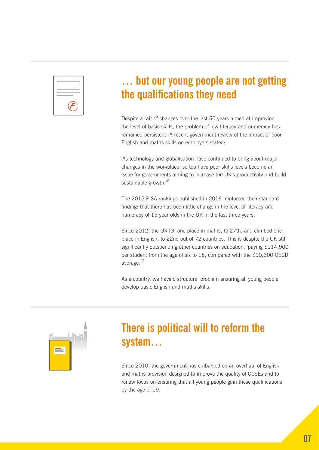

### **… but our young people are not getting the qualifications they need**

Despite a raft of changes over the last 50 years aimed at improving the level of basic skills, the problem of low literacy and numeracy has remained persistent. A recent government review of the impact of poor English and maths skills on employers stated:

'As technology and globalisation have continued to bring about major changes in the workplace, so too have poor skills levels become an issue for governments aiming to increase the UK's productivity and build sustainable growth.'<sup>6</sup>

The 2015 PISA rankings published in 2016 reinforced their standard finding: that there has been little change in the level of literacy and numeracy of 15 year olds in the UK in the last three years.

Since 2012, the UK fell one place in maths, to 27th, and climbed one place in English, to 22nd out of 72 countries. This is despite the UK still significantly outspending other countries on education, 'paying \$114,900 per student from the age of six to 15, compared with the \$90,300 OECD average.'<sup>7</sup>

As a country, we have a structural problem ensuring all young people develop basic English and maths skills.



### **There is political will to reform the system…**

Since 2010, the government has embarked on an overhaul of English and maths provision designed to improve the quality of GCSEs and to renew focus on ensuring that all young people gain these qualifications by the age of 19.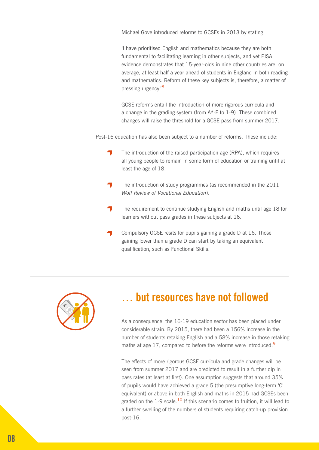Michael Gove introduced reforms to GCSEs in 2013 by stating:

'I have prioritised English and mathematics because they are both fundamental to facilitating learning in other subjects, and yet PISA evidence demonstrates that 15-year-olds in nine other countries are, on average, at least half a year ahead of students in England in both reading and mathematics. Reform of these key subjects is, therefore, a matter of pressing urgency.'<sup>8</sup>

GCSE reforms entail the introduction of more rigorous curricula and a change in the grading system (from A\*-F to 1-9). These combined changes will raise the threshold for a GCSE pass from summer 2017.

Post-16 education has also been subject to a number of reforms. These include:

- 4 The introduction of the raised participation age (RPA), which requires all young people to remain in some form of education or training until at least the age of 18.
- The introduction of study programmes (as recommended in the 2011 *Wolf Review of Vocational Education*).
- The requirement to continue studying English and maths until age 18 for learners without pass grades in these subjects at 16.
- Compulsory GCSE resits for pupils gaining a grade D at 16. Those gaining lower than a grade D can start by taking an equivalent qualification, such as Functional Skills.



### **… but resources have not followed**

As a consequence, the 16-19 education sector has been placed under considerable strain. By 2015, there had been a 156% increase in the number of students retaking English and a 58% increase in those retaking maths at age 17, compared to before the reforms were introduced.<sup>9</sup>

The effects of more rigorous GCSE curricula and grade changes will be seen from summer 2017 and are predicted to result in a further dip in pass rates (at least at first). One assumption suggests that around 35% of pupils would have achieved a grade 5 (the presumptive long-term 'C' equivalent) or above in both English and maths in 2015 had GCSEs been graded on the 1-9 scale.<sup>10</sup> If this scenario comes to fruition, it will lead to a further swelling of the numbers of students requiring catch-up provision post-16.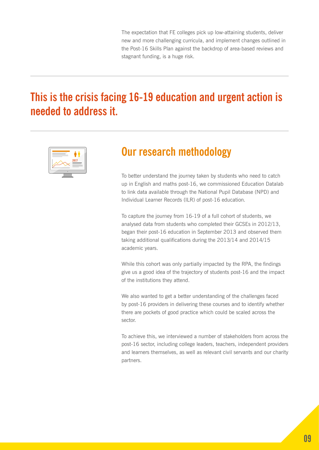The expectation that FE colleges pick up low-attaining students, deliver new and more challenging curricula, and implement changes outlined in the Post-16 Skills Plan against the backdrop of area-based reviews and stagnant funding, is a huge risk.

### **This is the crisis facing 16-19 education and urgent action is needed to address it.**



### **Our research methodology**

To better understand the journey taken by students who need to catch up in English and maths post-16, we commissioned Education Datalab to link data available through the National Pupil Database (NPD) and Individual Learner Records (ILR) of post-16 education.

To capture the journey from 16-19 of a full cohort of students, we analysed data from students who completed their GCSEs in 2012/13, began their post-16 education in September 2013 and observed them taking additional qualifications during the 2013/14 and 2014/15 academic years.

While this cohort was only partially impacted by the RPA, the findings give us a good idea of the trajectory of students post-16 and the impact of the institutions they attend.

We also wanted to get a better understanding of the challenges faced by post-16 providers in delivering these courses and to identify whether there are pockets of good practice which could be scaled across the sector.

To achieve this, we interviewed a number of stakeholders from across the post-16 sector, including college leaders, teachers, independent providers and learners themselves, as well as relevant civil servants and our charity partners.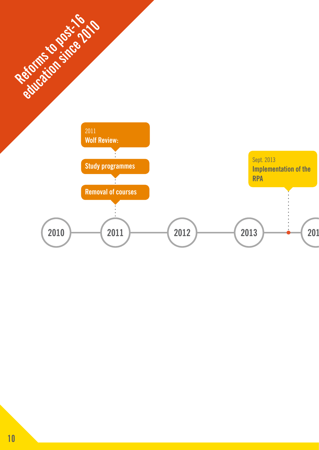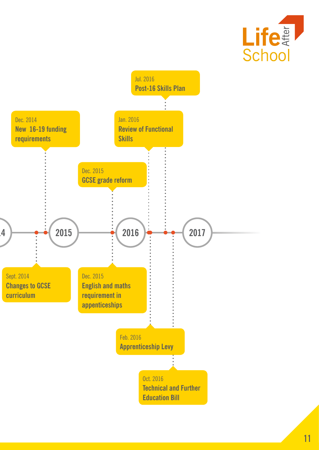

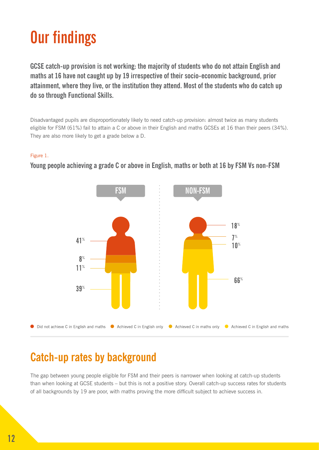# **Our findings**

**GCSE catch-up provision is not working: the majority of students who do not attain English and maths at 16 have not caught up by 19 irrespective of their socio-economic background, prior attainment, where they live, or the institution they attend. Most of the students who do catch up do so through Functional Skills.**

Disadvantaged pupils are disproportionately likely to need catch-up provision: almost twice as many students eligible for FSM (61%) fail to attain a C or above in their English and maths GCSEs at 16 than their peers (34%). They are also more likely to get a grade below a D.

#### Figure 1.



**Young people achieving a grade C or above in English, maths or both at 16 by FSM Vs non-FSM**

### **Catch-up rates by background**

The gap between young people eligible for FSM and their peers is narrower when looking at catch-up students than when looking at GCSE students – but this is not a positive story. Overall catch-up success rates for students of all backgrounds by 19 are poor, with maths proving the more difficult subject to achieve success in.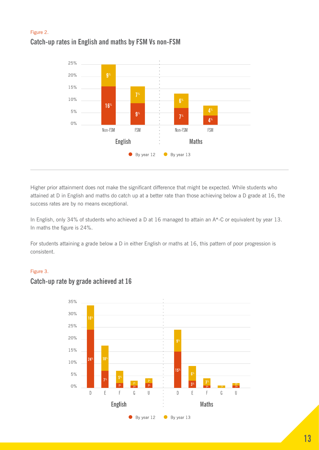#### Figure 2. **Catch-up rates in English and maths by FSM Vs non-FSM**



Higher prior attainment does not make the significant difference that might be expected. While students who attained at D in English and maths do catch up at a better rate than those achieving below a D grade at 16, the success rates are by no means exceptional.

In English, only 34% of students who achieved a D at 16 managed to attain an A\*-C or equivalent by year 13. In maths the figure is 24%.

For students attaining a grade below a D in either English or maths at 16, this pattern of poor progression is consistent.

#### Figure 3.



#### **Catch-up rate by grade achieved at 16**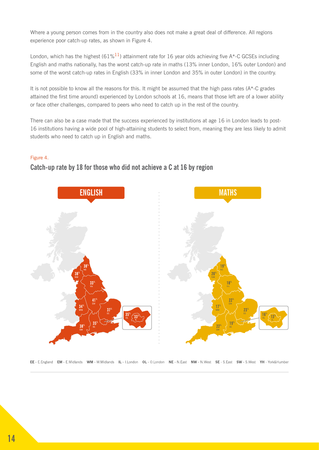Where a young person comes from in the country also does not make a great deal of difference. All regions experience poor catch-up rates, as shown in Figure 4.

London, which has the highest (61%<sup>11</sup>) attainment rate for 16 year olds achieving five A\*-C GCSEs including English and maths nationally, has the worst catch-up rate in maths (13% inner London, 16% outer London) and some of the worst catch-up rates in English (33% in inner London and 35% in outer London) in the country.

It is not possible to know all the reasons for this. It might be assumed that the high pass rates (A\*-C grades attained the first time around) experienced by London schools at 16, means that those left are of a lower ability or face other challenges, compared to peers who need to catch up in the rest of the country.

There can also be a case made that the success experienced by institutions at age 16 in London leads to post-16 institutions having a wide pool of high-attaining students to select from, meaning they are less likely to admit students who need to catch up in English and maths.

#### Figure 4.



#### **Catch-up rate by 18 for those who did not achieve a C at 16 by region**

EE - E. England EM - E. Midlands WM - W. Midlands IL - I. London OL - O. London NE - N. East NW - N. West SE - S. East SW - S. West YH - York& Humber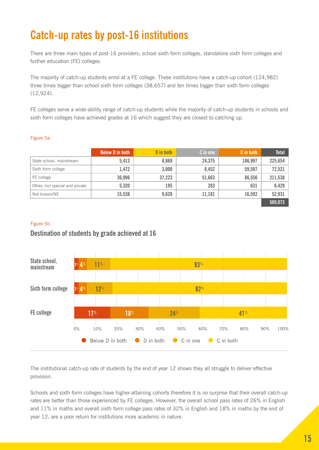### **Catch-up rates by post-16 institutions**

There are three main types of post-16 providers; school sixth form colleges, standalone sixth form colleges and further education (FE) colleges.

The majority of catch-up students enrol at a FE college. These institutions have a catch-up cohort (124,982) three times bigger than school sixth form colleges (38,657) and ten times bigger than sixth form colleges (12,924).

FE colleges serve a wide-ability range of catch-up students while the majority of catch-up students in schools and sixth form colleges have achieved grades at 16 which suggest they are closest to catching up.

#### Figure 5a.

|                                 | <b>Below D in both</b> | D in both | C in one | C in both | <b>Total</b> |
|---------------------------------|------------------------|-----------|----------|-----------|--------------|
| State school, mainstream        | 5,413                  | 8,869     | 24,375   | 186,997   | 225,654      |
| Sixth form college              | 1,472                  | 3,000     | 8,452    | 59,597    | 72,521       |
| FE college                      | 36,096                 | 37,223    | 51,663   | 86,556    | 211,538      |
| Other, incl special and private | 5,320                  | 195       | 283      | 631       | 6,429        |
| Not known/NE                    | 15,538                 | 9,620     | 11,181   | 16,592    | 52,931       |
|                                 |                        |           |          |           | 569,073      |

#### Figure 5b.

#### **Destination of students by grade achieved at 16**



The institutional catch-up rate of students by the end of year 12 shows they all struggle to deliver effective provision.

Schools and sixth form colleges have higher-attaining cohorts therefore it is no surprise that their overall catch-up rates are better than those experienced by FE colleges. However, the overall school pass rates of 26% in English and 11% in maths and overall sixth form college pass rates of 32% in English and 18% in maths by the end of year 12, are a poor return for institutions more academic in nature.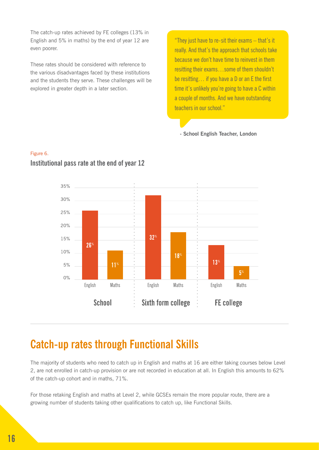The catch-up rates achieved by FE colleges (13% in English and 5% in maths) by the end of year 12 are even poorer.

These rates should be considered with reference to the various disadvantages faced by these institutions and the students they serve. These challenges will be explored in greater depth in a later section.

"They just have to re-sit their exams – that's it really. And that's the approach that schools take because we don't have time to reinvest in them resitting their exams…some of them shouldn't be resitting… if you have a D or an E the first time it's unlikely you're going to have a C within a couple of months. And we have outstanding teachers in our school."

**- School English Teacher, London**



#### Figure 6. **Institutional pass rate at the end of year 12**

### **Catch-up rates through Functional Skills**

The majority of students who need to catch up in English and maths at 16 are either taking courses below Level 2, are not enrolled in catch-up provision or are not recorded in education at all. In English this amounts to 62% of the catch-up cohort and in maths, 71%.

For those retaking English and maths at Level 2, while GCSEs remain the more popular route, there are a growing number of students taking other qualifications to catch up, like Functional Skills.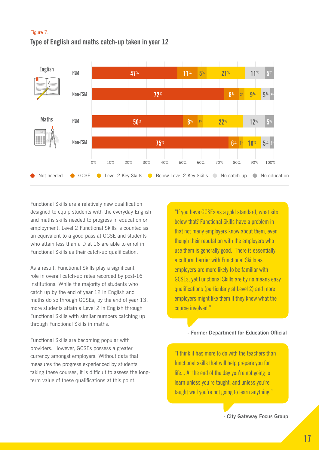#### Figure 7.

#### **Type of English and maths catch-up taken in year 12**



Functional Skills are a relatively new qualification designed to equip students with the everyday English and maths skills needed to progress in education or employment. Level 2 Functional Skills is counted as an equivalent to a good pass at GCSE and students who attain less than a D at 16 are able to enrol in Functional Skills as their catch-up qualification.

As a result, Functional Skills play a significant role in overall catch-up rates recorded by post-16 institutions. While the majority of students who catch up by the end of year 12 in English and maths do so through GCSEs, by the end of year 13, more students attain a Level 2 in English through Functional Skills with similar numbers catching up through Functional Skills in maths.

Functional Skills are becoming popular with providers. However, GCSEs possess a greater currency amongst employers. Without data that measures the progress experienced by students taking these courses, it is difficult to assess the longterm value of these qualifications at this point.

"If you have GCSEs as a gold standard, what sits below that? Functional Skills have a problem in that not many employers know about them, even though their reputation with the employers who use them is generally good. There is essentially a cultural barrier with Functional Skills as employers are more likely to be familiar with GCSEs, yet Functional Skills are by no means easy qualifications (particularly at Level 2) and more employers might like them if they knew what the course involved."

#### **- Former Department for Education Official**

"I think it has more to do with the teachers than functional skills that will help prepare you for life... At the end of the day you're not going to learn unless you're taught, and unless you're taught well you're not going to learn anything."

**- City Gateway Focus Group**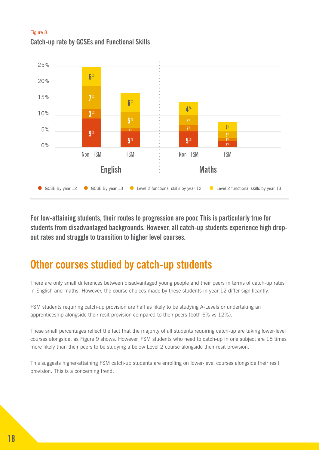#### Figure 8. **Catch-up rate by GCSEs and Functional Skills**



**For low-attaining students, their routes to progression are poor. This is particularly true for students from disadvantaged backgrounds. However, all catch-up students experience high dropout rates and struggle to transition to higher level courses.**

### **Other courses studied by catch-up students**

There are only small differences between disadvantaged young people and their peers in terms of catch-up rates in English and maths. However, the course choices made by these students in year 12 differ significantly.

FSM students requiring catch-up provision are half as likely to be studying A-Levels or undertaking an apprenticeship alongside their resit provision compared to their peers (both 6% vs 12%).

These small percentages reflect the fact that the majority of all students requiring catch-up are taking lower-level courses alongside, as Figure 9 shows. However, FSM students who need to catch-up in one subject are 18 times more likely than their peers to be studying a below Level 2 course alongside their resit provision.

This suggests higher-attaining FSM catch-up students are enrolling on lower-level courses alongside their resit provision. This is a concerning trend.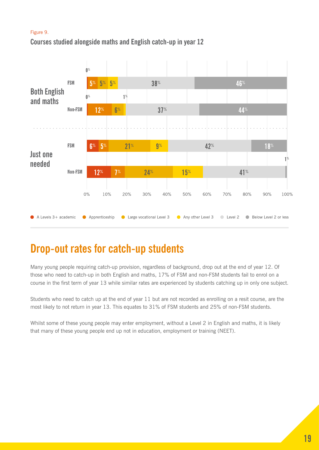#### Figure 9.

#### **Courses studied alongside maths and English catch-up in year 12**



### **Drop-out rates for catch-up students**

Many young people requiring catch-up provision, regardless of background, drop out at the end of year 12. Of those who need to catch-up in both English and maths, 17% of FSM and non-FSM students fail to enrol on a course in the first term of year 13 while similar rates are experienced by students catching up in only one subject.

Students who need to catch up at the end of year 11 but are not recorded as enrolling on a resit course, are the most likely to not return in year 13. This equates to 31% of FSM students and 25% of non-FSM students.

Whilst some of these young people may enter employment, without a Level 2 in English and maths, it is likely that many of these young people end up not in education, employment or training (NEET).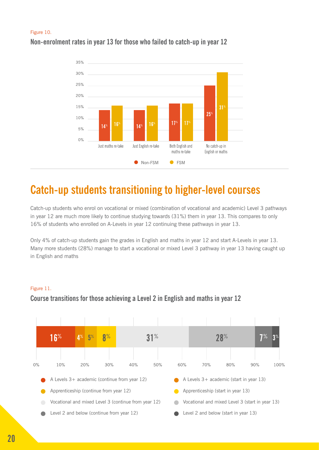#### Figure 10. **Non-enrolment rates in year 13 for those who failed to catch-up in year 12**



### **Catch-up students transitioning to higher-level courses**

Catch-up students who enrol on vocational or mixed (combination of vocational and academic) Level 3 pathways in year 12 are much more likely to continue studying towards (31%) them in year 13. This compares to only 16% of students who enrolled on A-Levels in year 12 continuing these pathways in year 13.

Only 4% of catch-up students gain the grades in English and maths in year 12 and start A-Levels in year 13. Many more students (28%) manage to start a vocational or mixed Level 3 pathway in year 13 having caught up in English and maths



#### Figure 11. **Course transitions for those achieving a Level 2 in English and maths in year 12**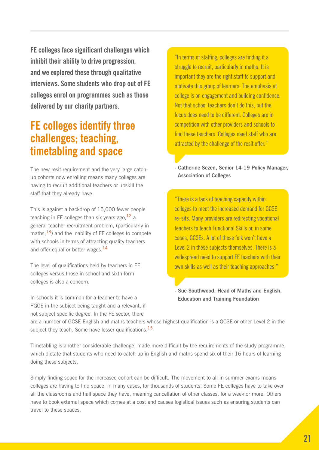**FE colleges face significant challenges which inhibit their ability to drive progression, and we explored these through qualitative interviews. Some students who drop out of FE colleges enrol on programmes such as those delivered by our charity partners.**

### **FE colleges identify three challenges; teaching, timetabling and space**

The new resit requirement and the very large catchup cohorts now enrolling means many colleges are having to recruit additional teachers or upskill the staff that they already have.

This is against a backdrop of 15,000 fewer people teaching in FE colleges than six years ago,  $12$  a general teacher recruitment problem, (particularly in maths,  $^{13}$ ) and the inability of FE colleges to compete with schools in terms of attracting quality teachers and offer equal or better wages.<sup>14</sup>

The level of qualifications held by teachers in FE colleges versus those in school and sixth form colleges is also a concern.

In schools it is common for a teacher to have a PGCE in the subject being taught and a relevant, if not subject specific degree. In the FE sector, there

"In terms of staffing, colleges are finding it a struggle to recruit, particularly in maths. It is important they are the right staff to support and motivate this group of learners. The emphasis at college is on engagement and building confidence. Not that school teachers don't do this, but the focus does need to be different. Colleges are in competition with other providers and schools to find these teachers. Colleges need staff who are attracted by the challenge of the resit offer."

**- Catherine Sezen, Senior 14-19 Policy Manager, Association of Colleges**

"There is a lack of teaching capacity within colleges to meet the increased demand for GCSE re-sits. Many providers are redirecting vocational teachers to teach Functional Skills or, in some cases, GCSEs. A lot of these folk won't have a Level 2 in these subjects themselves. There is a widespread need to support FE teachers with their own skills as well as their teaching approaches."

**- Sue Southwood, Head of Maths and English, Education and Training Foundation**

are a number of GCSE English and maths teachers whose highest qualification is a GCSE or other Level 2 in the subject they teach. Some have lesser qualifications.<sup>15</sup>

Timetabling is another considerable challenge, made more difficult by the requirements of the study programme, which dictate that students who need to catch up in English and maths spend six of their 16 hours of learning doing these subjects.

Simply finding space for the increased cohort can be difficult. The movement to all-in summer exams means colleges are having to find space, in many cases, for thousands of students. Some FE colleges have to take over all the classrooms and hall space they have, meaning cancellation of other classes, for a week or more. Others have to book external space which comes at a cost and causes logistical issues such as ensuring students can travel to these spaces.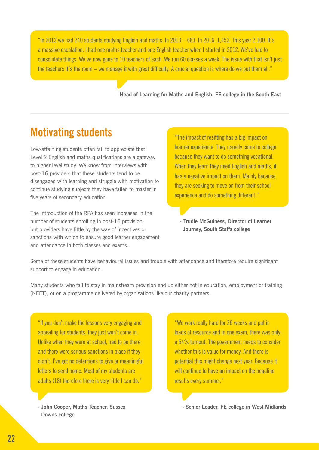"In 2012 we had 240 students studying English and maths. In 2013 – 683. In 2016, 1,452. This year 2,100. It's a massive escalation. I had one maths teacher and one English teacher when I started in 2012. We've had to consolidate things. We've now gone to 10 teachers of each. We run 60 classes a week. The issue with that isn't just the teachers it's the room – we manage it with great difficulty. A crucial question is where do we put them all."

**- Head of Learning for Maths and English, FE college in the South East**

### **Motivating students**

Low-attaining students often fail to appreciate that Level 2 English and maths qualifications are a gateway to higher level study. We know from interviews with post-16 providers that these students tend to be disengaged with learning and struggle with motivation to continue studying subjects they have failed to master in five years of secondary education.

The introduction of the RPA has seen increases in the number of students enrolling in post-16 provision, but providers have little by the way of incentives or sanctions with which to ensure good learner engagement and attendance in both classes and exams.

"The impact of resitting has a big impact on learner experience. They usually come to college because they want to do something vocational. When they learn they need English and maths, it has a negative impact on them. Mainly because they are seeking to move on from their school experience and do something different."

**- Trudie McGuiness, Director of Learner Journey, South Staffs college**

Some of these students have behavioural issues and trouble with attendance and therefore require significant support to engage in education.

Many students who fail to stay in mainstream provision end up either not in education, employment or training (NEET), or on a programme delivered by organisations like our charity partners.

"If you don't make the lessons very engaging and appealing for students, they just won't come in. Unlike when they were at school, had to be there and there were serious sanctions in place if they didn't. I've got no detentions to give or meaningful letters to send home. Most of my students are adults (18) therefore there is very little I can do."

**- John Cooper, Maths Teacher, Sussex Downs college**

"We work really hard for 36 weeks and put in loads of resource and in one exam, there was only a 54% turnout. The government needs to consider whether this is value for money. And there is potential this might change next year. Because it will continue to have an impact on the headline results every summer."

**- Senior Leader, FE college in West Midlands**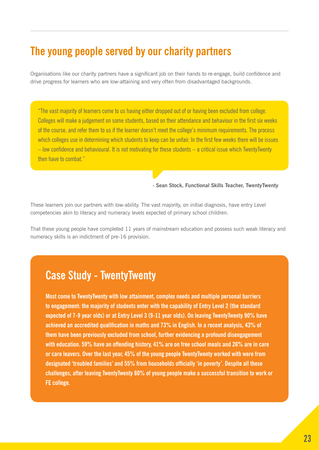### **The young people served by our charity partners**

Organisations like our charity partners have a significant job on their hands to re-engage, build confidence and drive progress for learners who are low-attaining and very often from disadvantaged backgrounds.

"The vast majority of learners come to us having either dropped out of or having been excluded from college. Colleges will make a judgement on some students, based on their attendance and behaviour in the first six weeks of the course, and refer them to us if the learner doesn't meet the college's minimum requirements. The process which colleges use in determining which students to keep can be unfair. In the first few weeks there will be issues – low confidence and behavioural. It is not motivating for these students – a critical issue which TwentyTwenty then have to combat."

**- Sean Stock, Functional Skills Teacher, TwentyTwenty**

These learners join our partners with low-ability. The vast majority, on initial diagnosis, have entry Level competencies akin to literacy and numeracy levels expected of primary school children.

That these young people have completed 11 years of mainstream education and possess such weak literacy and numeracy skills is an indictment of pre-16 provision.

### **Case Study - TwentyTwenty**

**Most come to TwentyTwenty with low attainment, complex needs and multiple personal barriers to engagement: the majority of students enter with the capability of Entry Level 2 (the standard expected of 7-9 year olds) or at Entry Level 3 (9-11 year olds). On leaving TwentyTwenty 90% have achieved an accredited qualification in maths and 73% in English. In a recent analysis, 43% of them have been previously excluded from school, further evidencing a profound disengagement with education. 59% have an offending history, 41% are on free school meals and 26% are in care or care leavers. Over the last year, 45% of the young people TwentyTwenty worked with were from designated 'troubled families' and 55% from households officially 'in poverty'. Despite all these challenges, after leaving TwentyTwenty 80% of young people make a successful transition to work or FE college.**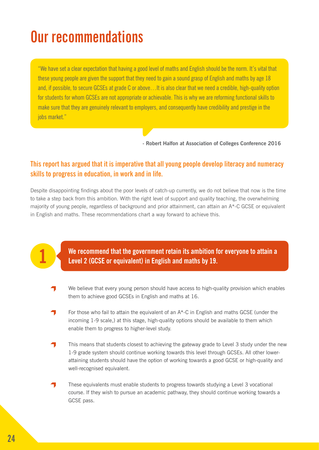# **Our recommendations**

"We have set a clear expectation that having a good level of maths and English should be the norm. It's vital that these young people are given the support that they need to gain a sound grasp of English and maths by age 18 and, if possible, to secure GCSEs at grade C or above...It is also clear that we need a credible, high-quality option for students for whom GCSEs are not appropriate or achievable. This is why we are reforming functional skills to make sure that they are genuinely relevant to employers, and consequently have credibility and prestige in the iobs market."

**- Robert Halfon at Association of Colleges Conference 2016**

#### **This report has argued that it is imperative that all young people develop literacy and numeracy skills to progress in education, in work and in life.**

Despite disappointing findings about the poor levels of catch-up currently, we do not believe that now is the time to take a step back from this ambition. With the right level of support and quality teaching, the overwhelming majority of young people, regardless of background and prior attainment, can attain an A\*-C GCSE or equivalent in English and maths. These recommendations chart a way forward to achieve this.

**We recommend that the government retain its ambition for everyone to attain a 1 Level 2 (GCSE or equivalent) in English and maths by 19.**

- We believe that every young person should have access to high-quality provision which enables them to achieve good GCSEs in English and maths at 16.
- For those who fail to attain the equivalent of an A\*-C in English and maths GCSE (under the incoming 1-9 scale,) at this stage, high-quality options should be available to them which enable them to progress to higher-level study.
- This means that students closest to achieving the gateway grade to Level 3 study under the new 1-9 grade system should continue working towards this level through GCSEs. All other lowerattaining students should have the option of working towards a good GCSE or high-quality and well-recognised equivalent.
- These equivalents must enable students to progress towards studying a Level 3 vocational course. If they wish to pursue an academic pathway, they should continue working towards a GCSE pass.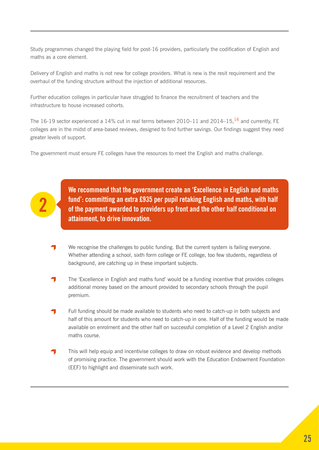Study programmes changed the playing field for post-16 providers, particularly the codification of English and maths as a core element.

Delivery of English and maths is not new for college providers. What is new is the resit requirement and the overhaul of the funding structure without the injection of additional resources.

Further education colleges in particular have struggled to finance the recruitment of teachers and the infrastructure to house increased cohorts.

The 16-19 sector experienced a 14% cut in real terms between 2010–11 and 2014–15,<sup>16</sup> and currently. FE colleges are in the midst of area-based reviews, designed to find further savings. Our findings suggest they need greater levels of support.

The government must ensure FE colleges have the resources to meet the English and maths challenge.



**We recommend that the government create an 'Excellence in English and maths fund': committing an extra £935 per pupil retaking English and maths, with half of the payment awarded to providers up front and the other half conditional on attainment, to drive innovation.** 

- We recognise the challenges to public funding. But the current system is failing everyone. Whether attending a school, sixth form college or FE college, too few students, regardless of background, are catching up in these important subjects.
- The 'Excellence in English and maths fund' would be a funding incentive that provides colleges additional money based on the amount provided to secondary schools through the pupil premium.
- Full funding should be made available to students who need to catch-up in both subjects and half of this amount for students who need to catch-up in one. Half of the funding would be made available on enrolment and the other half on successful completion of a Level 2 English and/or maths course.
- This will help equip and incentivise colleges to draw on robust evidence and develop methods of promising practice. The government should work with the Education Endowment Foundation (EEF) to highlight and disseminate such work.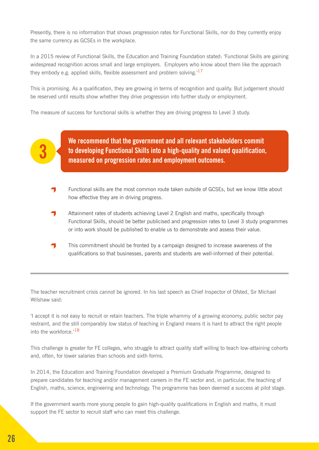Presently, there is no information that shows progression rates for Functional Skills, nor do they currently enjoy the same currency as GCSEs in the workplace.

In a 2015 review of Functional Skills, the Education and Training Foundation stated: 'Functional Skills are gaining widespread recognition across small and large employers. Employers who know about them like the approach they embody e.g. applied skills, flexible assessment and problem solving.<sup>17</sup>

This is promising. As a qualification, they are growing in terms of recognition and quality. But judgement should be reserved until results show whether they drive progression into further study or employment.

The measure of success for functional skills is whether they are driving progress to Level 3 study.

**We recommend that the government and all relevant stakeholders commit to developing Functional Skills into a high-quality and valued qualification, measured on progression rates and employment outcomes.** 

- Functional skills are the most common route taken outside of GCSEs, but we know little about how effective they are in driving progress.
- Attainment rates of students achieving Level 2 English and maths, specifically through Functional Skills, should be better publicised and progression rates to Level 3 study programmes or into work should be published to enable us to demonstrate and assess their value.
- This commitment should be fronted by a campaign designed to increase awareness of the qualifications so that businesses, parents and students are well-informed of their potential.

The teacher recruitment crisis cannot be ignored. In his last speech as Chief Inspector of Ofsted, Sir Michael Wilshaw said:

'I accept it is not easy to recruit or retain teachers. The triple whammy of a growing economy, public sector pay restraint, and the still comparably low status of teaching in England means it is hard to attract the right people into the workforce  $18$ 

This challenge is greater for FE colleges, who struggle to attract quality staff willing to teach low-attaining cohorts and, often, for lower salaries than schools and sixth forms.

In 2014, the Education and Training Foundation developed a Premium Graduate Programme, designed to prepare candidates for teaching and/or management careers in the FE sector and, in particular, the teaching of English, maths, science, engineering and technology. The programme has been deemed a success at pilot stage.

If the government wants more young people to gain high-quality qualifications in English and maths, it must support the FE sector to recruit staff who can meet this challenge.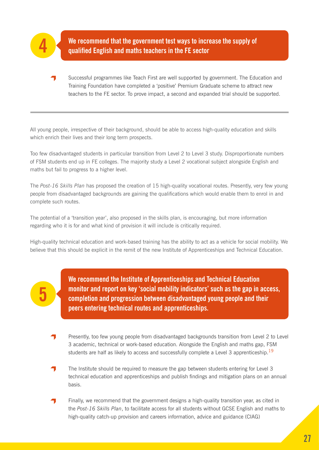

**5**

We recommend that the government test ways to increase the supply of qualified English and maths teachers in the FE sector

Successful programmes like Teach First are well supported by government. The Education and Training Foundation have completed a 'positive' Premium Graduate scheme to attract new teachers to the FE sector. To prove impact, a second and expanded trial should be supported.

All young people, irrespective of their background, should be able to access high-quality education and skills which enrich their lives and their long term prospects.

Too few disadvantaged students in particular transition from Level 2 to Level 3 study. Disproportionate numbers of FSM students end up in FE colleges. The majority study a Level 2 vocational subject alongside English and maths but fail to progress to a higher level.

The *Post-16 Skills Plan* has proposed the creation of 15 high-quality vocational routes. Presently, very few young people from disadvantaged backgrounds are gaining the qualifications which would enable them to enrol in and complete such routes.

The potential of a 'transition year', also proposed in the skills plan, is encouraging, but more information regarding who it is for and what kind of provision it will include is critically required.

High-quality technical education and work-based training has the ability to act as a vehicle for social mobility. We believe that this should be explicit in the remit of the new Institute of Apprenticeships and Technical Education.

> **We recommend the Institute of Apprenticeships and Technical Education monitor and report on key 'social mobility indicators' such as the gap in access, completion and progression between disadvantaged young people and their peers entering technical routes and apprenticeships.**

- Presently, too few young people from disadvantaged backgrounds transition from Level 2 to Level 3 academic, technical or work-based education. Alongside the English and maths gap, FSM students are half as likely to access and successfully complete a Level 3 apprenticeship.<sup>19</sup>
- The Institute should be required to measure the gap between students entering for Level 3 technical education and apprenticeships and publish findings and mitigation plans on an annual basis.
- Finally, we recommend that the government designs a high-quality transition year, as cited in the *Post-16 Skills Plan*, to facilitate access for all students without GCSE English and maths to high-quality catch-up provision and careers information, advice and guidance (CIAG)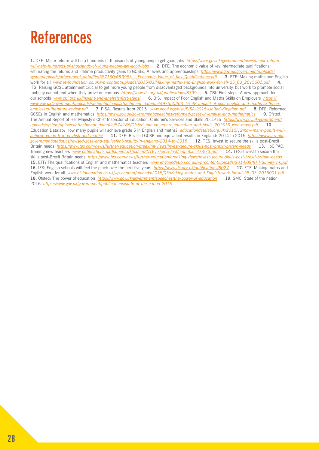# **References**

**1.** DFE: Major reform will help hundreds of thousands of young people get good jobs *[https://www.gov.uk/government/news/major-reform](https://www.gov.uk/government/news/major-reform-will-help-hundreds-of-thousands-of-young-people-get-good-jobs)[will-help-hundreds-of-thousands-of-young-people-get-good-jobs](https://www.gov.uk/government/news/major-reform-will-help-hundreds-of-thousands-of-young-people-get-good-jobs)* **2.** DFE: The economic value of key intermediate qualifications: estimating the returns and lifetime productivity gains to GCSEs, A levels and apprenticeships *[https://www.gov.uk/government/uploads/](https://www.gov.uk/government/uploads/system/uploads/attachment_data/file/387160/RR398A_-_Economic_Value_of_Key_Qualifications.pdf) [system/uploads/attachment\\_data/file/387160/RR398A\\_-\\_Economic\\_Value\\_of\\_Key\\_Qualifications.pdf](https://www.gov.uk/government/uploads/system/uploads/attachment_data/file/387160/RR398A_-_Economic_Value_of_Key_Qualifications.pdf)* **3.** ETF: Making maths and English work for all *[www.et-foundation.co.uk/wp-content/uploads/2015/03/Making-maths-and-English-work-for-all-25\\_03\\_2015001.pdf](http://www.et-foundation.co.uk/wp-content/uploads/2015/03/Making-maths-and-English-work-for-all-25_03_2015001.pdf)* **4.**  IFS: Raising GCSE attainment crucial to get more young people from disadvantaged backgrounds into university, but work to promote social mobility cannot end when they arrive on campus *<https://www.ifs.org.uk/publications/8799>* **5.** CBI: First steps: A new approach for our schools *[www.cbi.org.uk/insight-and-analysis/first-steps/](http://www.cbi.org.uk/insight-and-analysis/first-steps/)* **6.** BIS: Impact of Poor English and Maths Skills on Employers *[https://](https://www.gov.uk/government/uploads/system/uploads/attachment_data/file/497550/BIS-16-48-impact-of-poor-english-and-maths-skills-on-employers-literature-review.pdf) [www.gov.uk/government/uploads/system/uploads/attachment\\_data/file/497550/BIS-16-48-impact-of-poor-english-and-maths-skills-on](https://www.gov.uk/government/uploads/system/uploads/attachment_data/file/497550/BIS-16-48-impact-of-poor-english-and-maths-skills-on-employers-literature-review.pdf)[employers-literature-review.pdf](https://www.gov.uk/government/uploads/system/uploads/attachment_data/file/497550/BIS-16-48-impact-of-poor-english-and-maths-skills-on-employers-literature-review.pdf)* **7.** PISA: Results from 2015 *[www.oecd.org/pisa/PISA-2015-United-Kingdom.pdf](http://www.oecd.org/pisa/PISA-2015-United-Kingdom.pdf)* **8.** DFE: Reformed GCSEs in English and mathematics *<https://www.gov.uk/government/speeches/reformed-gcses-in-english-and-mathematics>* 9. Ofsted: The Annual Report of Her Majesty's Chief Inspector of Education, Children's Services and Skills 2015/16 *[https://www.gov.uk/government/](https://www.gov.uk/government/uploads/system/uploads/attachment_data/file/574186/Ofsted_annual_report_education_and_skills_201516_web-ready.pdf) [uploads/system/uploads/attachment\\_data/file/574186/Ofsted\\_annual\\_report\\_education\\_and\\_skills\\_201516\\_web-ready.pdf](https://www.gov.uk/government/uploads/system/uploads/attachment_data/file/574186/Ofsted_annual_report_education_and_skills_201516_web-ready.pdf)* **10.**  Education Datalab: How many pupils will achieve grade 5 in English and maths? *[educationdatalab.org.uk/2015/12/how-many-pupils-will](http://educationdatalab.org.uk/2015/12/how-many-pupils-will-achieve-grade-5-in-english-and-maths/)[achieve-grade-5-in-english-and-maths/](http://educationdatalab.org.uk/2015/12/how-many-pupils-will-achieve-grade-5-in-english-and-maths/)* **11.** DFE: Revised GCSE and equivalent results in England: 2014 to 2015 *[https://www.gov.uk/](https://www.gov.uk/government/statistics/revised-gcse-and-equivalent-results-in-england-2014-to-2015) [government/statistics/revised-gcse-and-equivalent-results-in-england-2014-to-2015](https://www.gov.uk/government/statistics/revised-gcse-and-equivalent-results-in-england-2014-to-2015)* **12.** TES: Invest to secure the skills post-Brexit Britain needs *<https://www.tes.com/news/further-education/breaking-views/invest-secure-skills-post-brexit-britain-needs>* **13.** HoC PAC: Training new teachers *[www.publications.parliament.uk/pa/cm201617/cmselect/cmpubacc/73/73.pdf](http://www.publications.parliament.uk/pa/cm201617/cmselect/cmpubacc/73/73.pdf)* **14.** TES: Invest to secure the skills post-Brexit Britain needs *<https://www.tes.com/news/further-education/breaking-views/invest-secure-skills-post-brexit-britain-needs>* **15.** ETF: The qualifications of English and mathematics teachers *[www.et-foundation.co.uk/wp-content/uploads/2014/09/RPT-Survey-v4.pdf](http://www.et-foundation.co.uk/wp-content/uploads/2014/09/RPT-Survey-v4.pdf)* **16.** IFS: English schools will feel the pinch over the next five years *<https://www.ifs.org.uk/publications/8027>* **17.** ETF: Making maths and English work for all *[www.et-foundation.co.uk/wp-content/uploads/2015/03/Making-maths-and-English-work-for-all-25\\_03\\_2015001.pdf](http://www.et-foundation.co.uk/wp-content/uploads/2015/03/Making-maths-and-English-work-for-all-25_03_2015001.pdf)* **18.** Ofsted: The power of education *<https://www.gov.uk/government/speeches/the-power-of-education>* **19.** SMC: State of the nation 2016 *<https://www.gov.uk/government/publications/state-of-the-nation-2016>*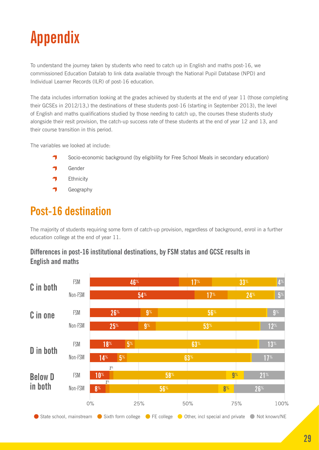# **Appendix**

To understand the journey taken by students who need to catch up in English and maths post-16, we commissioned Education Datalab to link data available through the National Pupil Database (NPD) and Individual Learner Records (ILR) of post-16 education.

The data includes information looking at the grades achieved by students at the end of year 11 (those completing their GCSEs in 2012/13,) the destinations of these students post-16 (starting in September 2013), the level of English and maths qualifications studied by those needing to catch up, the courses these students study alongside their resit provision, the catch-up success rate of these students at the end of year 12 and 13, and their course transition in this period.

The variables we looked at include:

- Socio-economic background (by eligibility for Free School Meals in secondary education)
- Gender
- **Ethnicity** 7
- $\blacksquare$ Geography

### **Post-16 destination**

The majority of students requiring some form of catch-up provision, regardless of background, enrol in a further education college at the end of year 11.

#### **Differences in post-16 institutional destinations, by FSM status and GCSE results in English and maths**

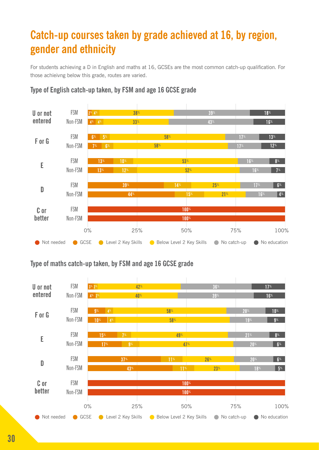### **Catch-up courses taken by grade achieved at 16, by region, gender and ethnicity**

For students achieving a D in English and maths at 16, GCSEs are the most common catch-up qualification. For those achieivng below this grade, routes are varied.



#### **Type of English catch-up taken, by FSM and age 16 GCSE grade**

#### **Type of maths catch-up taken, by FSM and age 16 GCSE grade**

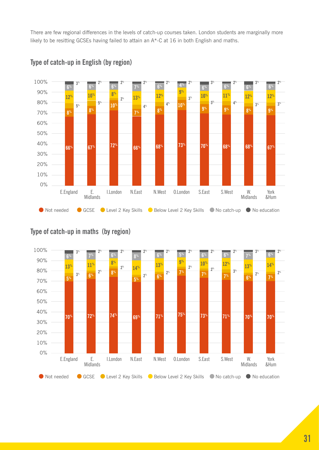There are few regional differences in the levels of catch-up courses taken. London students are marginally more likely to be resitting GCSEs having failed to attain an A\*-C at 16 in both English and maths.



#### **Type of catch-up in English (by region)**

### **Type of catch-up in maths (by region)**

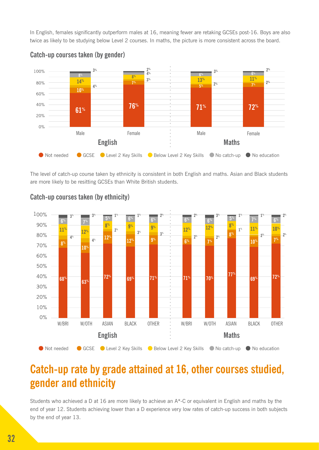In English, females significantly outperform males at 16, meaning fewer are retaking GCSEs post-16. Boys are also twice as likely to be studying below Level 2 courses. In maths, the picture is more consistent across the board.



#### **Catch-up courses taken (by gender)**

The level of catch-up course taken by ethnicity is consistent in both English and maths. Asian and Black students are more likely to be resitting GCSEs than White British students.



#### **Catch-up courses taken (by ethnicity)**

### **Catch-up rate by grade attained at 16, other courses studied, gender and ethnicity**

Students who achieved a D at 16 are more likely to achieve an A\*-C or equivalent in English and maths by the end of year 12. Students achieving lower than a D experience very low rates of catch-up success in both subjects by the end of year 13.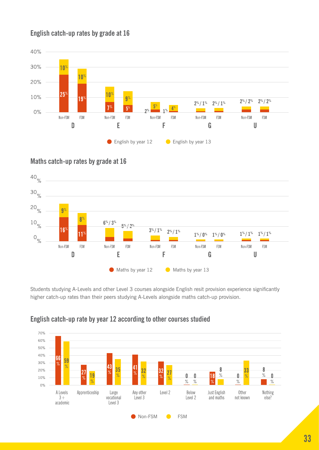#### **English catch-up rates by grade at 16**



#### **Maths catch-up rates by grade at 16**



Students studying A-Levels and other Level 3 courses alongside English resit provision experience significantly higher catch-up rates than their peers studying A-Levels alongside maths catch-up provision.



#### **English catch-up rate by year 12 according to other courses studied**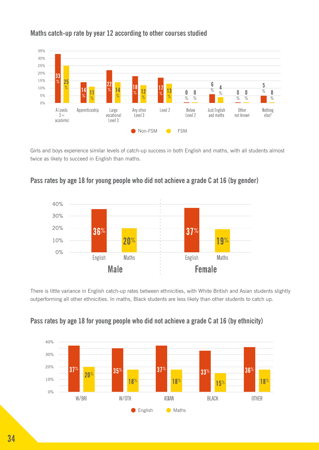

#### **Maths catch-up rate by year 12 according to other courses studied**

Girls and boys experience similar levels of catch-up success in both English and maths, with all students almost twice as likely to succeed in English than maths.





There is little variance in English catch-up rates between ethnicities, with White British and Asian students slightly outperforming all other ethnicities. In maths, Black students are less likely than other students to catch up.



#### **Pass rates by age 18 for young people who did not achieve a grade C at 16 (by ethnicity)**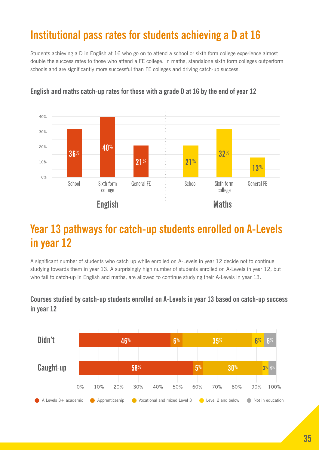### **Institutional pass rates for students achieving a D at 16**

Students achieving a D in English at 16 who go on to attend a school or sixth form college experience almost double the success rates to those who attend a FE college. In maths, standalone sixth form colleges outperform schools and are significantly more successful than FE colleges and driving catch-up success.



#### **English and maths catch-up rates for those with a grade D at 16 by the end of year 12**

### **Year 13 pathways for catch-up students enrolled on A-Levels in year 12**

A significant number of students who catch up while enrolled on A-Levels in year 12 decide not to continue studying towards them in year 13. A surprisingly high number of students enrolled on A-Levels in year 12, but who fail to catch-up in English and maths, are allowed to continue studying their A-Levels in year 13.

#### **Courses studied by catch-up students enrolled on A-Levels in year 13 based on catch-up success in year 12**